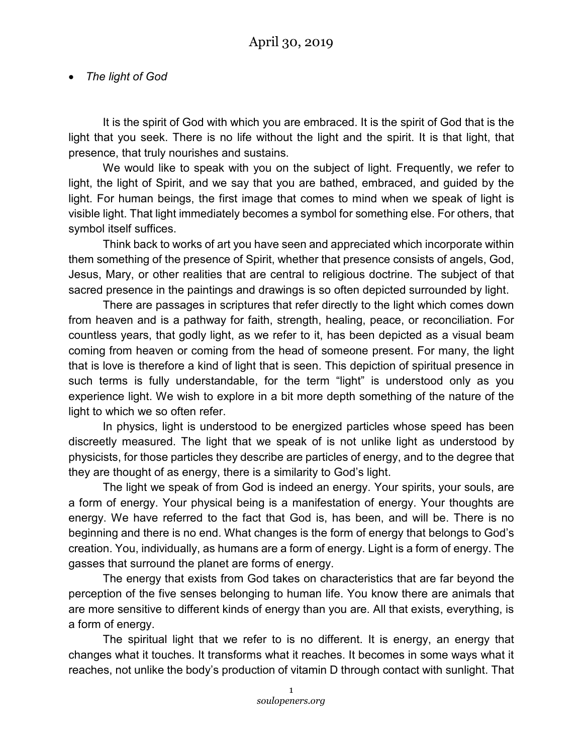## • *The light of God*

It is the spirit of God with which you are embraced. It is the spirit of God that is the light that you seek. There is no life without the light and the spirit. It is that light, that presence, that truly nourishes and sustains.

We would like to speak with you on the subject of light. Frequently, we refer to light, the light of Spirit, and we say that you are bathed, embraced, and guided by the light. For human beings, the first image that comes to mind when we speak of light is visible light. That light immediately becomes a symbol for something else. For others, that symbol itself suffices.

Think back to works of art you have seen and appreciated which incorporate within them something of the presence of Spirit, whether that presence consists of angels, God, Jesus, Mary, or other realities that are central to religious doctrine. The subject of that sacred presence in the paintings and drawings is so often depicted surrounded by light.

There are passages in scriptures that refer directly to the light which comes down from heaven and is a pathway for faith, strength, healing, peace, or reconciliation. For countless years, that godly light, as we refer to it, has been depicted as a visual beam coming from heaven or coming from the head of someone present. For many, the light that is love is therefore a kind of light that is seen. This depiction of spiritual presence in such terms is fully understandable, for the term "light" is understood only as you experience light. We wish to explore in a bit more depth something of the nature of the light to which we so often refer.

In physics, light is understood to be energized particles whose speed has been discreetly measured. The light that we speak of is not unlike light as understood by physicists, for those particles they describe are particles of energy, and to the degree that they are thought of as energy, there is a similarity to God's light.

The light we speak of from God is indeed an energy. Your spirits, your souls, are a form of energy. Your physical being is a manifestation of energy. Your thoughts are energy. We have referred to the fact that God is, has been, and will be. There is no beginning and there is no end. What changes is the form of energy that belongs to God's creation. You, individually, as humans are a form of energy. Light is a form of energy. The gasses that surround the planet are forms of energy.

The energy that exists from God takes on characteristics that are far beyond the perception of the five senses belonging to human life. You know there are animals that are more sensitive to different kinds of energy than you are. All that exists, everything, is a form of energy.

The spiritual light that we refer to is no different. It is energy, an energy that changes what it touches. It transforms what it reaches. It becomes in some ways what it reaches, not unlike the body's production of vitamin D through contact with sunlight. That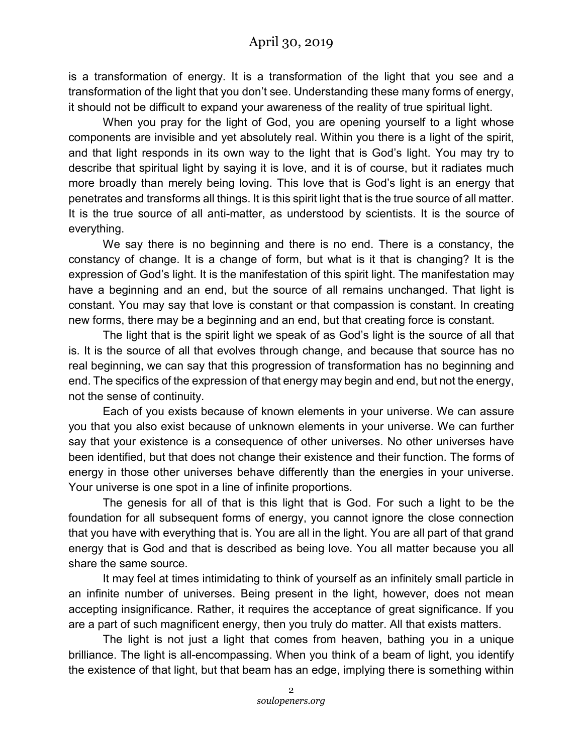is a transformation of energy. It is a transformation of the light that you see and a transformation of the light that you don't see. Understanding these many forms of energy, it should not be difficult to expand your awareness of the reality of true spiritual light.

When you pray for the light of God, you are opening yourself to a light whose components are invisible and yet absolutely real. Within you there is a light of the spirit, and that light responds in its own way to the light that is God's light. You may try to describe that spiritual light by saying it is love, and it is of course, but it radiates much more broadly than merely being loving. This love that is God's light is an energy that penetrates and transforms all things. It is this spirit light that is the true source of all matter. It is the true source of all anti-matter, as understood by scientists. It is the source of everything.

We say there is no beginning and there is no end. There is a constancy, the constancy of change. It is a change of form, but what is it that is changing? It is the expression of God's light. It is the manifestation of this spirit light. The manifestation may have a beginning and an end, but the source of all remains unchanged. That light is constant. You may say that love is constant or that compassion is constant. In creating new forms, there may be a beginning and an end, but that creating force is constant.

The light that is the spirit light we speak of as God's light is the source of all that is. It is the source of all that evolves through change, and because that source has no real beginning, we can say that this progression of transformation has no beginning and end. The specifics of the expression of that energy may begin and end, but not the energy, not the sense of continuity.

Each of you exists because of known elements in your universe. We can assure you that you also exist because of unknown elements in your universe. We can further say that your existence is a consequence of other universes. No other universes have been identified, but that does not change their existence and their function. The forms of energy in those other universes behave differently than the energies in your universe. Your universe is one spot in a line of infinite proportions.

The genesis for all of that is this light that is God. For such a light to be the foundation for all subsequent forms of energy, you cannot ignore the close connection that you have with everything that is. You are all in the light. You are all part of that grand energy that is God and that is described as being love. You all matter because you all share the same source.

It may feel at times intimidating to think of yourself as an infinitely small particle in an infinite number of universes. Being present in the light, however, does not mean accepting insignificance. Rather, it requires the acceptance of great significance. If you are a part of such magnificent energy, then you truly do matter. All that exists matters.

The light is not just a light that comes from heaven, bathing you in a unique brilliance. The light is all-encompassing. When you think of a beam of light, you identify the existence of that light, but that beam has an edge, implying there is something within